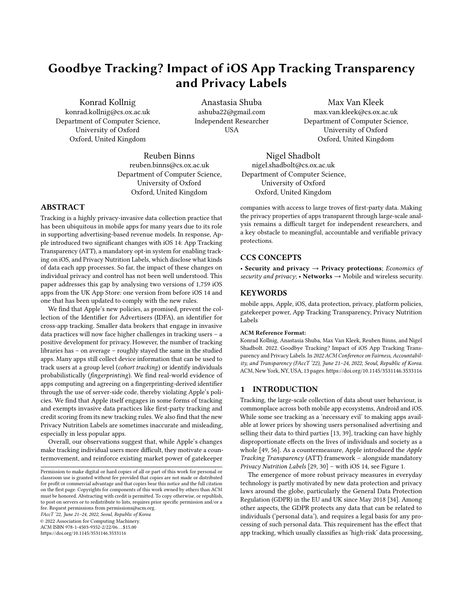# Goodbye Tracking? Impact of iOS App Tracking Transparency and Privacy Labels

Konrad Kollnig konrad.kollnig@cs.ox.ac.uk Department of Computer Science, University of Oxford Oxford, United Kingdom

Anastasia Shuba ashuba22@gmail.com Independent Researcher USA

Max Van Kleek max.van.kleek@cs.ox.ac.uk Department of Computer Science, University of Oxford Oxford, United Kingdom

Reuben Binns reuben.binns@cs.ox.ac.uk Department of Computer Science, University of Oxford Oxford, United Kingdom

# ABSTRACT

Tracking is a highly privacy-invasive data collection practice that has been ubiquitous in mobile apps for many years due to its role in supporting advertising-based revenue models. In response, Apple introduced two significant changes with iOS 14: App Tracking Transparency (ATT), a mandatory opt-in system for enabling tracking on iOS, and Privacy Nutrition Labels, which disclose what kinds of data each app processes. So far, the impact of these changes on individual privacy and control has not been well understood. This paper addresses this gap by analysing two versions of 1,759 iOS apps from the UK App Store: one version from before iOS 14 and one that has been updated to comply with the new rules.

We find that Apple's new policies, as promised, prevent the collection of the Identifier for Advertisers (IDFA), an identifier for cross-app tracking. Smaller data brokers that engage in invasive data practices will now face higher challenges in tracking users – a positive development for privacy. However, the number of tracking libraries has – on average – roughly stayed the same in the studied apps. Many apps still collect device information that can be used to track users at a group level (cohort tracking) or identify individuals probabilistically (fingerprinting). We find real-world evidence of apps computing and agreeing on a fingerprinting-derived identifier through the use of server-side code, thereby violating Apple's policies. We find that Apple itself engages in some forms of tracking and exempts invasive data practices like first-party tracking and credit scoring from its new tracking rules. We also find that the new Privacy Nutrition Labels are sometimes inaccurate and misleading, especially in less popular apps.

Overall, our observations suggest that, while Apple's changes make tracking individual users more difficult, they motivate a countermovement, and reinforce existing market power of gatekeeper

FAccT '22, June 21–24, 2022, Seoul, Republic of Korea

© 2022 Association for Computing Machinery.

ACM ISBN 978-1-4503-9352-2/22/06. . . \$15.00

<https://doi.org/10.1145/3531146.3533116>

Nigel Shadbolt nigel.shadbolt@cs.ox.ac.uk Department of Computer Science, University of Oxford Oxford, United Kingdom

companies with access to large troves of first-party data. Making the privacy properties of apps transparent through large-scale analysis remains a difficult target for independent researchers, and a key obstacle to meaningful, accountable and verifiable privacy protections.

# CCS CONCEPTS

• Security and privacy  $\rightarrow$  Privacy protections; Economics of security and privacy;  $\cdot$  Networks  $\rightarrow$  Mobile and wireless security.

#### **KEYWORDS**

mobile apps, Apple, iOS, data protection, privacy, platform policies, gatekeeper power, App Tracking Transparency, Privacy Nutrition Labels

#### ACM Reference Format:

Konrad Kollnig, Anastasia Shuba, Max Van Kleek, Reuben Binns, and Nigel Shadbolt. 2022. Goodbye Tracking? Impact of iOS App Tracking Transparency and Privacy Labels. In 2022 ACM Conference on Fairness, Accountability, and Transparency (FAccT '22), June 21–24, 2022, Seoul, Republic of Korea. ACM, New York, NY, USA, [13](#page-12-0) pages[. https://doi.org/10.1145/3531146.3533116](https://doi.org/10.1145/3531146.3533116)

### 1 INTRODUCTION

Tracking, the large-scale collection of data about user behaviour, is commonplace across both mobile app ecosystems, Android and iOS. While some see tracking as a 'necessary evil' to making apps available at lower prices by showing users personalised advertising and selling their data to third parties [\[13,](#page-10-0) [39\]](#page-10-1), tracking can have highly disproportionate effects on the lives of individuals and society as a whole [\[49,](#page-11-0) [56\]](#page-11-1). As a countermeasure, Apple introduced the Apple Tracking Transparency (ATT) framework – alongside mandatory Privacy Nutrition Labels [\[29,](#page-10-2) [30\]](#page-10-3) – with iOS 14, see Figure [1.](#page-1-0)

The emergence of more robust privacy measures in everyday technology is partly motivated by new data protection and privacy laws around the globe, particularly the General Data Protection Regulation (GDPR) in the EU and UK since May 2018 [\[34\]](#page-10-4). Among other aspects, the GDPR protects any data that can be related to individuals ('personal data'), and requires a legal basis for any processing of such personal data. This requirement has the effect that app tracking, which usually classifies as 'high-risk' data processing,

Permission to make digital or hard copies of all or part of this work for personal or classroom use is granted without fee provided that copies are not made or distributed for profit or commercial advantage and that copies bear this notice and the full citation on the first page. Copyrights for components of this work owned by others than ACM must be honored. Abstracting with credit is permitted. To copy otherwise, or republish, to post on servers or to redistribute to lists, requires prior specific permission and/or a fee. Request permissions from permissions@acm.org.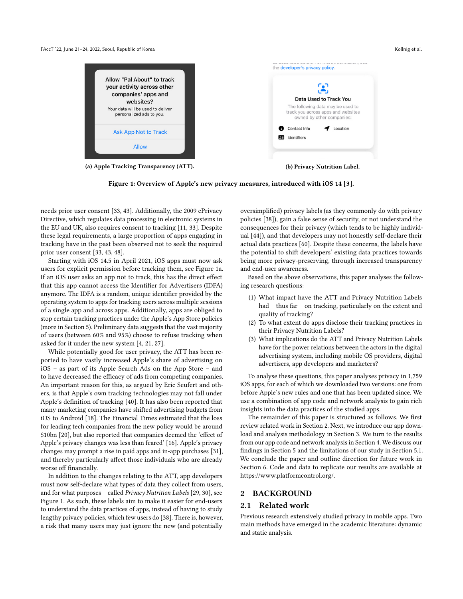#### <span id="page-1-0"></span>FAccT '22, June 21–24, 2022, Seoul, Republic of Korea Kollnig et al. (2014) and the state of Kollnig et al. (2014) and the state of Kollnig et al. (2014) and the state of Korea Kollnig et al. (2014) and the state of Korea





needs prior user consent [\[33,](#page-10-6) [43\]](#page-11-2). Additionally, the 2009 ePrivacy Directive, which regulates data processing in electronic systems in the EU and UK, also requires consent to tracking [\[11,](#page-10-7) [33\]](#page-10-6). Despite these legal requirements, a large proportion of apps engaging in tracking have in the past been observed not to seek the required prior user consent [\[33,](#page-10-6) [43,](#page-11-2) [48\]](#page-11-3).

Starting with iOS 14.5 in April 2021, iOS apps must now ask users for explicit permission before tracking them, see Figure [1a.](#page-1-0) If an iOS user asks an app not to track, this has the direct effect that this app cannot access the Identifier for Advertisers (IDFA) anymore. The IDFA is a random, unique identifier provided by the operating system to apps for tracking users across multiple sessions of a single app and across apps. Additionally, apps are obliged to stop certain tracking practices under the Apple's App Store policies (more in Section [5\)](#page-7-0). Preliminary data suggests that the vast majority of users (between 60% and 95%) choose to refuse tracking when asked for it under the new system [\[4,](#page-10-8) [21,](#page-10-9) [27\]](#page-10-10).

While potentially good for user privacy, the ATT has been reported to have vastly increased Apple's share of advertising on iOS – as part of its Apple Search Ads on the App Store – and to have decreased the efficacy of ads from competing companies. An important reason for this, as argued by Eric Seufert and others, is that Apple's own tracking technologies may not fall under Apple's definition of tracking [\[40\]](#page-10-11). It has also been reported that many marketing companies have shifted advertising budgets from iOS to Android [\[18\]](#page-10-12). The Financial Times estimated that the loss for leading tech companies from the new policy would be around \$10bn [\[20\]](#page-10-13), but also reported that companies deemed the 'effect of Apple's privacy changes was less than feared' [\[16\]](#page-10-14). Apple's privacy changes may prompt a rise in paid apps and in-app purchases [\[31\]](#page-10-15), and thereby particularly affect those individuals who are already worse off financially.

In addition to the changes relating to the ATT, app developers must now self-declare what types of data they collect from users, and for what purposes – called Privacy Nutrition Labels [\[29,](#page-10-2) [30\]](#page-10-3), see Figure [1.](#page-1-0) As such, these labels aim to make it easier for end-users to understand the data practices of apps, instead of having to study lengthy privacy policies, which few users do [\[38\]](#page-10-16). There is, however, a risk that many users may just ignore the new (and potentially

oversimplified) privacy labels (as they commonly do with privacy policies [\[38\]](#page-10-16)), gain a false sense of security, or not understand the consequences for their privacy (which tends to be highly individual [\[44\]](#page-11-4)), and that developers may not honestly self-declare their actual data practices [\[60\]](#page-11-5). Despite these concerns, the labels have the potential to shift developers' existing data practices towards being more privacy-preserving, through increased transparency and end-user awareness.

Based on the above observations, this paper analyses the following research questions:

- (1) What impact have the ATT and Privacy Nutrition Labels had – thus far – on tracking, particularly on the extent and quality of tracking?
- (2) To what extent do apps disclose their tracking practices in their Privacy Nutrition Labels?
- (3) What implications do the ATT and Privacy Nutrition Labels have for the power relations between the actors in the digital advertising system, including mobile OS providers, digital advertisers, app developers and marketers?

To analyse these questions, this paper analyses privacy in 1,759 iOS apps, for each of which we downloaded two versions: one from before Apple's new rules and one that has been updated since. We use a combination of app code and network analysis to gain rich insights into the data practices of the studied apps.

The remainder of this paper is structured as follows. We first review related work in Section [2.](#page-1-1) Next, we introduce our app download and analysis methodology in Section [3.](#page-2-0) We turn to the results from our app code and network analysis in Section [4.](#page-3-0) We discuss our findings in Section [5](#page-7-0) and the limitations of our study in Section [5.1.](#page-9-0) We conclude the paper and outline direction for future work in Section [6.](#page-9-1) Code and data to replicate our results are available at [https://www.platformcontrol.org/.](https://www.platformcontrol.org/)

# <span id="page-1-1"></span>2 BACKGROUND

## <span id="page-1-2"></span>2.1 Related work

Previous research extensively studied privacy in mobile apps. Two main methods have emerged in the academic literature: dynamic and static analysis.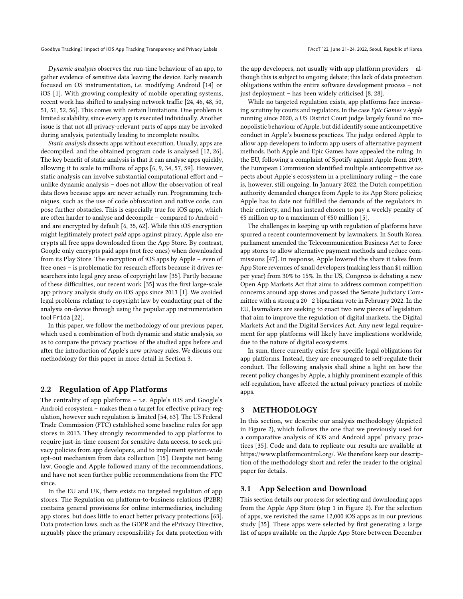Dynamic analysis observes the run-time behaviour of an app, to gather evidence of sensitive data leaving the device. Early research focused on OS instrumentation, i.e. modifying Android [\[14\]](#page-10-17) or iOS [\[1\]](#page-10-18). With growing complexity of mobile operating systems, recent work has shifted to analysing network traffic [\[24,](#page-10-19) [46,](#page-11-6) [48,](#page-11-3) [50,](#page-11-7) [51,](#page-11-8) [51,](#page-11-8) [52,](#page-11-9) [56\]](#page-11-1). This comes with certain limitations. One problem is limited scalability, since every app is executed individually. Another issue is that not all privacy-relevant parts of apps may be invoked during analysis, potentially leading to incomplete results.

Static analysis dissects apps without execution. Usually, apps are decompiled, and the obtained program code is analysed [\[12,](#page-10-20) [26\]](#page-10-21). The key benefit of static analysis is that it can analyse apps quickly, allowing it to scale to millions of apps [\[6,](#page-10-22) [9,](#page-10-23) [34,](#page-10-4) [57,](#page-11-10) [59\]](#page-11-11). However, static analysis can involve substantial computational effort and – unlike dynamic analysis – does not allow the observation of real data flows because apps are never actually run. Programming techniques, such as the use of code obfuscation and native code, can pose further obstacles. This is especially true for iOS apps, which are often harder to analyse and decompile – compared to Android – and are encrypted by default [\[6,](#page-10-22) [35,](#page-10-24) [62\]](#page-11-12). While this iOS encryption might legitimately protect paid apps against piracy, Apple also encrypts all free apps downloaded from the App Store. By contrast, Google only encrypts paid apps (not free ones) when downloaded from its Play Store. The encryption of iOS apps by Apple – even of free ones – is problematic for research efforts because it drives researchers into legal grey areas of copyright law [\[35\]](#page-10-24). Partly because of these difficulties, our recent work [\[35\]](#page-10-24) was the first large-scale app privacy analysis study on iOS apps since 2013 [\[1\]](#page-10-18). We avoided legal problems relating to copyright law by conducting part of the analysis on-device through using the popular app instrumentation tool Frida [\[22\]](#page-10-25).

In this paper, we follow the methodology of our previous paper, which used a combination of both dynamic and static analysis, so as to compare the privacy practices of the studied apps before and after the introduction of Apple's new privacy rules. We discuss our methodology for this paper in more detail in Section [3.](#page-2-0)

### <span id="page-2-1"></span>2.2 Regulation of App Platforms

The centrality of app platforms – i.e. Apple's iOS and Google's Android ecosystem – makes them a target for effective privacy regulation, however such regulation is limited [\[54,](#page-11-13) [63\]](#page-11-14). The US Federal Trade Commission (FTC) established some baseline rules for app stores in 2013. They strongly recommended to app platforms to require just-in-time consent for sensitive data access, to seek privacy policies from app developers, and to implement system-wide opt-out mechanism from data collection [\[15\]](#page-10-26). Despite not being law, Google and Apple followed many of the recommendations, and have not seen further public recommendations from the FTC since.

In the EU and UK, there exists no targeted regulation of app stores. The Regulation on platform-to-business relations (P2BR) contains general provisions for online intermediaries, including app stores, but does little to enact better privacy protections [\[63\]](#page-11-14). Data protection laws, such as the GDPR and the ePrivacy Directive, arguably place the primary responsibility for data protection with

the app developers, not usually with app platform providers – although this is subject to ongoing debate; this lack of data protection obligations within the entire software development process – not just deployment – has been widely criticised [\[8,](#page-10-27) [28\]](#page-10-28).

While no targeted regulation exists, app platforms face increasing scrutiny by courts and regulators. In the case Epic Games v Apple running since 2020, a US District Court judge largely found no monopolistic behaviour of Apple, but did identify some anticompetitive conduct in Apple's business practices. The judge ordered Apple to allow app developers to inform app users of alternative payment methods. Both Apple and Epic Games have appealed the ruling. In the EU, following a complaint of Spotify against Apple from 2019, the European Commission identified multiple anticompetitive aspects about Apple's ecosystem in a preliminary ruling – the case is, however, still ongoing. In January 2022, the Dutch competition authority demanded changes from Apple to its App Store policies; Apple has to date not fulfilled the demands of the regulators in their entirety, and has instead chosen to pay a weekly penalty of  $€5$  million up to a maximum of  $€50$  million [\[5\]](#page-10-29).

The challenges in keeping up with regulation of platforms have spurred a recent countermovement by lawmakers. In South Korea, parliament amended the Telecommunication Business Act to force app stores to allow alternative payment methods and reduce commissions [\[47\]](#page-11-15). In response, Apple lowered the share it takes from App Store revenues of small developers (making less than \$1 million per year) from 30% to 15%. In the US, Congress is debating a new Open App Markets Act that aims to address common competition concerns around app stores and passed the Senate Judiciary Committee with a strong a 20—2 bipartisan vote in February 2022. In the EU, lawmakers are seeking to enact two new pieces of legislation that aim to improve the regulation of digital markets, the Digital Markets Act and the Digital Services Act. Any new legal requirement for app platforms will likely have implications worldwide, due to the nature of digital ecosystems.

In sum, there currently exist few specific legal obligations for app platforms. Instead, they are encouraged to self-regulate their conduct. The following analysis shall shine a light on how the recent policy changes by Apple, a highly prominent example of this self-regulation, have affected the actual privacy practices of mobile apps.

# <span id="page-2-0"></span>3 METHODOLOGY

In this section, we describe our analysis methodology (depicted in Figure [2\)](#page-3-1), which follows the one that we previously used for a comparative analysis of iOS and Android apps' privacy practices [\[35\]](#page-10-24). Code and data to replicate our results are available at [https://www.platformcontrol.org/.](https://www.platformcontrol.org/) We therefore keep our description of the methodology short and refer the reader to the original paper for details.

#### 3.1 App Selection and Download

This section details our process for selecting and downloading apps from the Apple App Store (step 1 in Figure [2\)](#page-3-1). For the selection of apps, we revisited the same 12,000 iOS apps as in our previous study [\[35\]](#page-10-24). These apps were selected by first generating a large list of apps available on the Apple App Store between December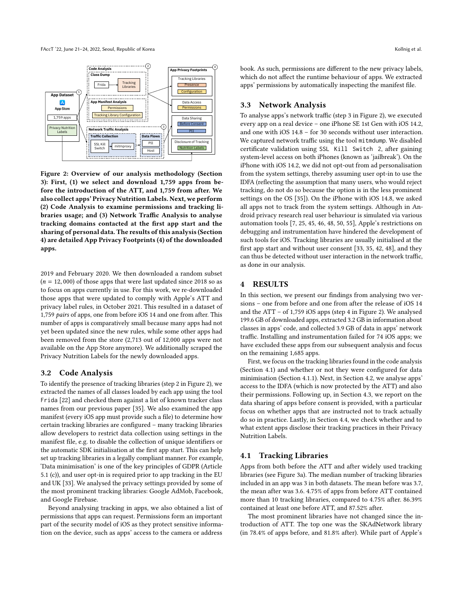FAccT '22, June 21–24, 2022, Seoul, Republic of Korea Kollnig et al. (2014) and the state of Kollnig et al. (2014) and the state of Kollnig et al. (2014) and the state of Korea Kollnig et al. (2014) and the state of Korea

<span id="page-3-1"></span>

Figure 2: Overview of our analysis methodology (Section [3\)](#page-2-0): First, (1) we select and download 1,759 apps from before the introduction of the ATT, and 1,759 from after. We also collect apps' Privacy Nutrition Labels. Next, we perform (2) Code Analysis to examine permissions and tracking libraries usage; and (3) Network Traffic Analysis to analyse tracking domains contacted at the first app start and the sharing of personal data. The results of this analysis (Section [4\)](#page-3-0) are detailed App Privacy Footprints (4) of the downloaded apps.

2019 and February 2020. We then downloaded a random subset  $(n = 12,000)$  of those apps that were last updated since 2018 so as to focus on apps currently in use. For this work, we re-downloaded those apps that were updated to comply with Apple's ATT and privacy label rules, in October 2021. This resulted in a dataset of 1,759 pairs of apps, one from before iOS 14 and one from after. This number of apps is comparatively small because many apps had not yet been updated since the new rules, while some other apps had been removed from the store (2,713 out of 12,000 apps were not available on the App Store anymore). We additionally scraped the Privacy Nutrition Labels for the newly downloaded apps.

## 3.2 Code Analysis

To identify the presence of tracking libraries (step 2 in Figure [2\)](#page-3-1), we extracted the names of all classes loaded by each app using the tool Frida [\[22\]](#page-10-25) and checked them against a list of known tracker class names from our previous paper [\[35\]](#page-10-24). We also examined the app manifest (every iOS app must provide such a file) to determine how certain tracking libraries are configured – many tracking libraries allow developers to restrict data collection using settings in the manifest file, e.g. to disable the collection of unique identifiers or the automatic SDK initialisation at the first app start. This can help set up tracking libraries in a legally compliant manner. For example, 'Data minimisation' is one of the key principles of GDPR (Article 5.1 (c)), and user opt-in is required prior to app tracking in the EU and UK [\[33\]](#page-10-6). We analysed the privacy settings provided by some of the most prominent tracking libraries: Google AdMob, Facebook, and Google Firebase.

Beyond analysing tracking in apps, we also obtained a list of permissions that apps can request. Permissions form an important part of the security model of iOS as they protect sensitive information on the device, such as apps' access to the camera or address

book. As such, permissions are different to the new privacy labels, which do not affect the runtime behaviour of apps. We extracted apps' permissions by automatically inspecting the manifest file.

#### 3.3 Network Analysis

To analyse apps's network traffic (step 3 in Figure [2\)](#page-3-1), we executed every app on a real device – one iPhone SE 1st Gen with iOS 14.2, and one with iOS 14.8 – for 30 seconds without user interaction. We captured network traffic using the tool mitmdump. We disabled certificate validation using SSL Kill Switch 2, after gaining system-level access on both iPhones (known as 'jailbreak'). On the iPhone with iOS 14.2, we did not opt-out from ad personalisation from the system settings, thereby assuming user opt-in to use the IDFA (reflecting the assumption that many users, who would reject tracking, do not do so because the option is in the less prominent settings on the OS [\[35\]](#page-10-24)). On the iPhone with iOS 14.8, we asked all apps not to track from the system settings. Although in Android privacy research real user behaviour is simulated via various automation tools [\[7,](#page-10-30) [25,](#page-10-31) [45,](#page-11-16) [46,](#page-11-6) [48,](#page-11-3) [50,](#page-11-7) [55\]](#page-11-17), Apple's restrictions on debugging and instrumentation have hindered the development of such tools for iOS. Tracking libraries are usually initialised at the first app start and without user consent [\[33,](#page-10-6) [35,](#page-10-24) [42,](#page-11-18) [48\]](#page-11-3), and they can thus be detected without user interaction in the network traffic, as done in our analysis.

#### <span id="page-3-0"></span>4 RESULTS

In this section, we present our findings from analysing two versions – one from before and one from after the release of iOS 14 and the ATT – of 1,759 iOS apps (step 4 in Figure [2\)](#page-3-1). We analysed 199.6 GB of downloaded apps, extracted 3.2 GB in information about classes in apps' code, and collected 3.9 GB of data in apps' network traffic. Installing and instrumentation failed for 74 iOS apps; we have excluded these apps from our subsequent analysis and focus on the remaining 1,685 apps.

First, we focus on the tracking libraries found in the code analysis (Section [4.1\)](#page-3-2) and whether or not they were configured for data minimisation (Section [4.1.1\)](#page-4-0). Next, in Section [4.2,](#page-4-1) we analyse apps' access to the IDFA (which is now protected by the ATT) and also their permissions. Following up, in Section [4.3,](#page-5-0) we report on the data sharing of apps before consent is provided, with a particular focus on whether apps that are instructed not to track actually do so in practice. Lastly, in Section [4.4,](#page-7-1) we check whether and to what extent apps disclose their tracking practices in their Privacy Nutrition Labels.

#### <span id="page-3-2"></span>4.1 Tracking Libraries

Apps from both before the ATT and after widely used tracking libraries (see Figure [3a](#page-4-2)). The median number of tracking libraries included in an app was 3 in both datasets. The mean before was 3.7, the mean after was 3.6. 4.75% of apps from before ATT contained more than 10 tracking libraries, compared to 4.75% after. 86.39% contained at least one before ATT, and 87.52% after.

The most prominent libraries have not changed since the introduction of ATT. The top one was the SKAdNetwork library (in 78.4% of apps before, and 81.8% after). While part of Apple's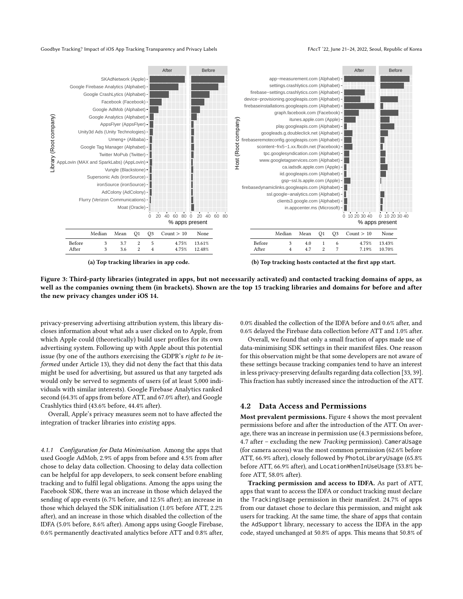<span id="page-4-2"></span>

(a) Top tracking libraries in app code.

(b) Top tracking hosts contacted at the first app start.

Figure 3: Third-party libraries (integrated in apps, but not necessarily activated) and contacted tracking domains of apps, as well as the companies owning them (in brackets). Shown are the top 15 tracking libraries and domains for before and after the new privacy changes under iOS 14.

privacy-preserving advertising attribution system, this library discloses information about what ads a user clicked on to Apple, from which Apple could (theoretically) build user profiles for its own advertising system. Following up with Apple about this potential issue (by one of the authors exercising the GDPR's right to be informed under Article 13), they did not deny the fact that this data might be used for advertising, but assured us that any targeted ads would only be served to segments of users (of at least 5,000 individuals with similar interests). Google Firebase Analytics ranked second (64.3% of apps from before ATT, and 67.0% after), and Google Crashlytics third (43.6% before, 44.4% after).

Overall, Apple's privacy measures seem not to have affected the integration of tracker libraries into existing apps.

<span id="page-4-0"></span>4.1.1 Configuration for Data Minimisation. Among the apps that used Google AdMob, 2.9% of apps from before and 4.5% from after chose to delay data collection. Choosing to delay data collection can be helpful for app developers, to seek consent before enabling tracking and to fulfil legal obligations. Among the apps using the Facebook SDK, there was an increase in those which delayed the sending of app events (6.7% before, and 12.5% after); an increase in those which delayed the SDK initialisation (1.0% before ATT, 2.2% after), and an increase in those which disabled the collection of the IDFA (5.0% before, 8.6% after). Among apps using Google Firebase, 0.6% permanently deactivated analytics before ATT and 0.8% after, 0.0% disabled the collection of the IDFA before and 0.6% after, and 0.6% delayed the Firebase data collection before ATT and 1.0% after.

Overall, we found that only a small fraction of apps made use of data-minimising SDK settings in their manifest files. One reason for this observation might be that some developers are not aware of these settings because tracking companies tend to have an interest in less privacy-preserving defaults regarding data collection [\[33,](#page-10-6) [39\]](#page-10-1). This fraction has subtly increased since the introduction of the ATT.

# <span id="page-4-1"></span>4.2 Data Access and Permissions

Most prevalent permissions. Figure [4](#page-5-1) shows the most prevalent permissions before and after the introduction of the ATT. On average, there was an increase in permission use (4.<sup>3</sup> permissions before, <sup>4</sup>.<sup>7</sup> after – excluding the new Tracking permission). CameraUsage (for camera access) was the most common permission (62.6% before ATT, 66.9% after), closely followed by PhotoLibraryUsage (65.8% before ATT, 66.9% after), and LocationWhenInUseUsage (53.8% before ATT, 58.0% after).

Tracking permission and access to IDFA. As part of ATT, apps that want to access the IDFA or conduct tracking must declare the TrackingUsage permission in their manifest. 24.7% of apps from our dataset chose to declare this permission, and might ask users for tracking. At the same time, the share of apps that contain the AdSupport library, necessary to access the IDFA in the app code, stayed unchanged at 50.8% of apps. This means that 50.8% of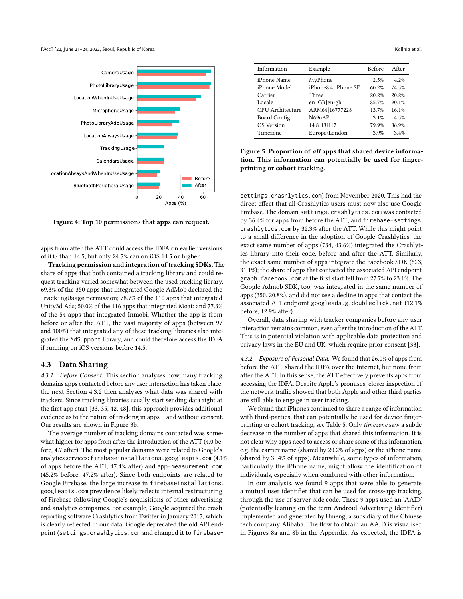<span id="page-5-1"></span>

Figure 4: Top 10 permissions that apps can request.

apps from after the ATT could access the IDFA on earlier versions of iOS than 14.5, but only 24.7% can on iOS 14.5 or higher.

Tracking permission and integration of tracking SDKs. The share of apps that both contained a tracking library and could request tracking varied somewhat between the used tracking library. 69.3% of the 350 apps that integrated Google AdMob declared the TrackingUsage permission; 78.7% of the 110 apps that integrated Unity3d Ads; 50.0% of the 116 apps that integrated Moat; and 77.3% of the 54 apps that integrated Inmobi. Whether the app is from before or after the ATT, the vast majority of apps (between 97 and 100%) that integrated any of these tracking libraries also integrated the AdSupport library, and could therefore access the IDFA if running on iOS versions before 14.5.

# <span id="page-5-0"></span>4.3 Data Sharing

4.3.1 Before Consent. This section analyses how many tracking domains apps contacted before any user interaction has taken place; the next Section [4.3.2](#page-5-2) then analyses what data was shared with trackers. Since tracking libraries usually start sending data right at the first app start [\[33,](#page-10-6) [35,](#page-10-24) [42,](#page-11-18) [48\]](#page-11-3), this approach provides additional evidence as to the nature of tracking in apps – and without consent. Our results are shown in Figure [3b](#page-4-2).

The average number of tracking domains contacted was somewhat higher for apps from after the introduction of the ATT (4.0 before, 4.7 after). The most popular domains were related to Google's analytics services: firebaseinstallations.googleapis.com (4.1% of apps before the ATT, 47.4% after) and app-measurement.com (45.2% before, 47.2% after). Since both endpoints are related to Google Firebase, the large increase in firebaseinstallations. googleapis.com prevalence likely reflects internal restructuring of Firebase following Google's acquisitions of other advertising and analytics companies. For example, Google acquired the crash reporting software Crashlytics from Twitter in January 2017, which is clearly reflected in our data. Google deprecated the old API endpoint (settings.crashlytics.com and changed it to firebase-

<span id="page-5-3"></span>

| Information       | Example             | <b>Before</b> | After   |
|-------------------|---------------------|---------------|---------|
| iPhone Name       | MyPhone             | 2.5%          | $4.2\%$ |
| iPhone Model      | iPhone8,4 iPhone SE | 60.2%         | 74.5%   |
| Carrier           | Three               | 20.2%         | 20 2%   |
| Locale            | en GB en-gb         | 85.7%         | 90.1%   |
| CPU Architecture  | ARM64 16777228      | 13.7%         | 16.1%   |
| Board Config      | N69uAP              | 3.1%          | 4.5%    |
| <b>OS</b> Version | 14.8 18H17          | 79.9%         | 86.9%   |
| Timezone          | Europe/London       | 3.9%          | 34%     |

Figure 5: Proportion of all apps that shared device information. This information can potentially be used for fingerprinting or cohort tracking.

settings.crashlytics.com) from November 2020. This had the direct effect that all Crashlytics users must now also use Google Firebase. The domain settings.crashlytics.com was contacted by 36.4% for apps from before the ATT, and firebase-settings. crashlytics.com by 32.3% after the ATT. While this might point to a small difference in the adoption of Google Crashlytics, the exact same number of apps (734, 43.6%) integrated the Crashlytics library into their code, before and after the ATT. Similarly, the exact same number of apps integrate the Facebook SDK (523, 31.1%); the share of apps that contacted the associated API endpoint graph.facebook.com at the first start fell from 27.7% to 23.1%. The Google Admob SDK, too, was integrated in the same number of apps (350, 20.8%), and did not see a decline in apps that contact the associated API endpoint googleads.g.doubleclick.net (12.1% before, 12.9% after).

Overall, data sharing with tracker companies before any user interaction remains common, even after the introduction of the ATT. This is in potential violation with applicable data protection and privacy laws in the EU and UK, which require prior consent [\[33\]](#page-10-6).

<span id="page-5-2"></span>4.3.2 Exposure of Personal Data. We found that 26.0% of apps from before the ATT shared the IDFA over the Internet, but none from after the ATT. In this sense, the ATT effectively prevents apps from accessing the IDFA. Despite Apple's promises, closer inspection of the network traffic showed that both Apple and other third parties are still able to engage in user tracking.

We found that iPhones continued to share a range of information with third-parties, that can potentially be used for device fingerprinting or cohort tracking, see Table [5.](#page-5-3) Only timezone saw a subtle decrease in the number of apps that shared this information. It is not clear why apps need to access or share some of this information, e.g. the carrier name (shared by 20.2% of apps) or the iPhone name (shared by 3–4% of apps). Meanwhile, some types of information, particularly the iPhone name, might allow the identification of individuals, especially when combined with other information.

In our analysis, we found 9 apps that were able to generate a mutual user identifier that can be used for cross-app tracking, through the use of server-side code. These 9 apps used an 'AAID' (potentially leaning on the term Android Advertising Identifier) implemented and generated by Umeng, a subsidiary of the Chinese tech company Alibaba. The flow to obtain an AAID is visualised in Figures [8a](#page-11-19) and [8b](#page-11-19) in the Appendix. As expected, the IDFA is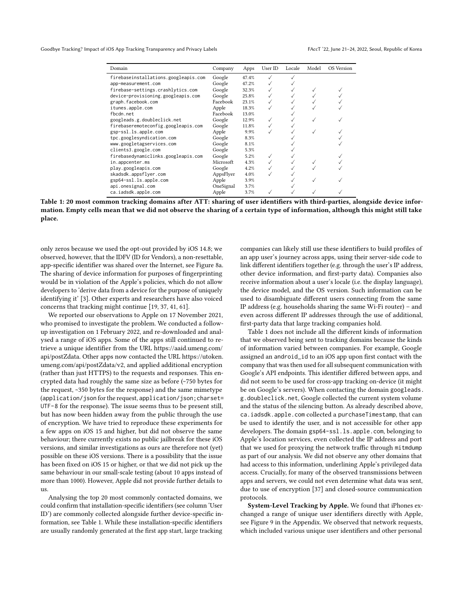<span id="page-6-0"></span>

| Domain                               | Company   | Apps  | User ID | Locale | Model | OS Version |
|--------------------------------------|-----------|-------|---------|--------|-------|------------|
| firebaseinstallations.googleapis.com | Google    | 47.4% |         |        |       |            |
| app-measurement.com                  | Google    | 47.2% |         |        |       |            |
| firebase-settings.crashlytics.com    | Google    | 32.3% |         |        |       |            |
| device-provisioning.googleapis.com   | Google    | 25.8% |         |        |       |            |
| graph.facebook.com                   | Facebook  | 23.1% |         |        |       |            |
| itunes.apple.com                     | Apple     | 18.3% |         |        |       |            |
| fbcdn.net                            | Facebook  | 13.0% |         |        |       |            |
| googleads.g.doubleclick.net          | Google    | 12.9% |         |        |       |            |
| firebaseremoteconfig.googleapis.com  | Google    | 11.8% |         |        |       |            |
| gsp-ssl.ls.apple.com                 | Apple     | 9.9%  |         |        |       |            |
| tpc.googlesyndication.com            | Google    | 8.3%  |         |        |       |            |
| www.googletagservices.com            | Google    | 8.1%  |         |        |       |            |
| clients3.google.com                  | Google    | 5.3%  |         |        |       |            |
| firebasedynamiclinks.googleapis.com  | Google    | 5.2%  |         |        |       |            |
| in.appcenter.ms                      | Microsoft | 4.3%  |         |        |       |            |
| play.googleapis.com                  | Google    | 4.2%  |         |        |       |            |
| skadsdk.appsflyer.com                | AppsFlyer | 4.0%  |         |        |       |            |
| gsp64-ssl.ls.apple.com               | Apple     | 3.9%  |         |        |       |            |
| api.onesignal.com                    | OneSignal | 3.7%  |         |        |       |            |
| ca.iadsdk.apple.com                  | Apple     | 3.7%  |         |        |       |            |
|                                      |           |       |         |        |       |            |



only zeros because we used the opt-out provided by iOS 14.8; we observed, however, that the IDFV (ID for Vendors), a non-resettable, app-specific identifier was shared over the Internet, see Figure [8a.](#page-11-19) The sharing of device information for purposes of fingerprinting would be in violation of the Apple's policies, which do not allow developers to 'derive data from a device for the purpose of uniquely identifying it' [\[3\]](#page-10-5). Other experts and researchers have also voiced concerns that tracking might continue [\[19,](#page-10-32) [37,](#page-10-33) [41,](#page-10-34) [61\]](#page-11-20).

We reported our observations to Apple on 17 November 2021, who promised to investigate the problem. We conducted a followup investigation on 1 February 2022, and re-downloaded and analysed a range of iOS apps. Some of the apps still continued to retrieve a unique identifier from the URL [https://aaid.umeng.com/](https://aaid.umeng.com/api/postZdata) [api/postZdata.](https://aaid.umeng.com/api/postZdata) Other apps now contacted the URL [https://utoken.](https://utoken.umeng.com/api/postZdata/v2) [umeng.com/api/postZdata/v2,](https://utoken.umeng.com/api/postZdata/v2) and applied additional encryption (rather than just HTTPS) to the requests and responses. This encrypted data had roughly the same size as before (~750 bytes for the request, ~350 bytes for the response) and the same mimetype (application/json for the request, application/json;charset= UTF-8 for the response). The issue seems thus to be present still, but has now been hidden away from the public through the use of encryption. We have tried to reproduce these experiments for a few apps on iOS 15 and higher, but did not observe the same behaviour; there currently exists no public jailbreak for these iOS versions, and similar investigations as ours are therefore not (yet) possible on these iOS versions. There is a possibility that the issue has been fixed on iOS 15 or higher, or that we did not pick up the same behaviour in our small-scale testing (about 10 apps instead of more than 1000). However, Apple did not provide further details to us.

Analysing the top 20 most commonly contacted domains, we could confirm that installation-specific identifiers (see column 'User ID') are commonly collected alongside further device-specific information, see Table [1.](#page-6-0) While these installation-specific identifiers are usually randomly generated at the first app start, large tracking

companies can likely still use these identifiers to build profiles of an app user's journey across apps, using their server-side code to link different identifiers together (e.g. through the user's IP address, other device information, and first-party data). Companies also receive information about a user's locale (i.e. the display language), the device model, and the OS version. Such information can be used to disambiguate different users connecting from the same IP address (e.g. households sharing the same Wi-Fi router) – and even across different IP addresses through the use of additional, first-party data that large tracking companies hold.

Table [1](#page-6-0) does not include all the different kinds of information that we observed being sent to tracking domains because the kinds of information varied between companies. For example, Google assigned an android\_id to an iOS app upon first contact with the company that was then used for all subsequent communication with Google's API endpoints. This identifier differed between apps, and did not seem to be used for cross-app tracking on-device (it might be on Google's servers). When contacting the domain googleads. g.doubleclick.net, Google collected the current system volume and the status of the silencing button. As already described above, ca.iadsdk.apple.com collected a purchaseTimestamp, that can be used to identify the user, and is not accessible for other app developers. The domain gsp64-ssl.ls.apple.com, belonging to Apple's location services, even collected the IP address and port that we used for proxying the network traffic through mitmdump as part of our analysis. We did not observe any other domains that had access to this information, underlining Apple's privileged data access. Crucially, for many of the observed transmissions between apps and servers, we could not even determine what data was sent, due to use of encryption [\[37\]](#page-10-33) and closed-source communication protocols.

System-Level Tracking by Apple. We found that iPhones exchanged a range of unique user identifiers directly with Apple, see Figure [9](#page-12-1) in the Appendix. We observed that network requests, which included various unique user identifiers and other personal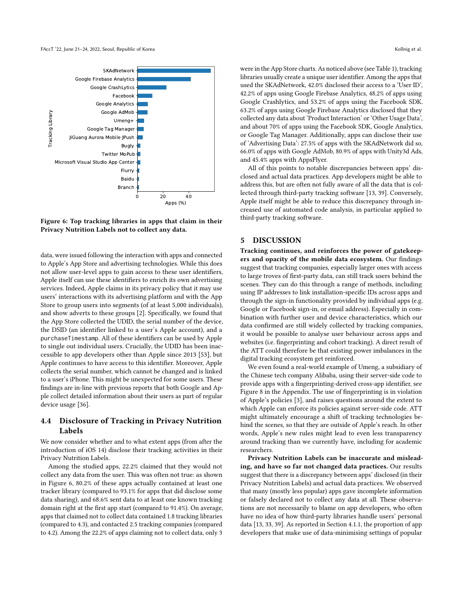<span id="page-7-2"></span>

Figure 6: Top tracking libraries in apps that claim in their Privacy Nutrition Labels not to collect any data.

data, were issued following the interaction with apps and connected to Apple's App Store and advertising technologies. While this does not allow user-level apps to gain access to these user identifiers, Apple itself can use these identifiers to enrich its own advertising services. Indeed, Apple claims in its privacy policy that it may use users' interactions with its advertising platform and with the App Store to group users into segments (of at least 5,000 individuals), and show adverts to these groups [\[2\]](#page-10-35). Specifically, we found that the App Store collected the UDID, the serial number of the device, the DSID (an identifier linked to a user's Apple account), and a purchaseTimestamp. All of these identifiers can be used by Apple to single out individual users. Crucially, the UDID has been inaccessible to app developers other than Apple since 2013 [\[53\]](#page-11-21), but Apple continues to have access to this identifier. Moreover, Apple collects the serial number, which cannot be changed and is linked to a user's iPhone. This might be unexpected for some users. These findings are in-line with previous reports that both Google and Apple collect detailed information about their users as part of regular device usage [\[36\]](#page-10-36).

# <span id="page-7-1"></span>4.4 Disclosure of Tracking in Privacy Nutrition Labels

We now consider whether and to what extent apps (from after the introduction of iOS 14) disclose their tracking activities in their Privacy Nutrition Labels.

Among the studied apps, 22.2% claimed that they would not collect any data from the user. This was often not true: as shown in Figure [6,](#page-7-2) 80.2% of these apps actually contained at least one tracker library (compared to 93.1% for apps that did disclose some data sharing), and 68.6% sent data to at least one known tracking domain right at the first app start (compared to 91.4%). On average, apps that claimed not to collect data contained 1.8 tracking libraries (compared to 4.3), and contacted 2.5 tracking companies (compared to 4.2). Among the 22.2% of apps claiming not to collect data, only 3

were in the App Store charts. As noticed above (see Table [1\)](#page-6-0), tracking libraries usually create a unique user identifier. Among the apps that used the SKAdNetwork, 42.0% disclosed their access to a 'User ID', 42.2% of apps using Google Firebase Analytics, 48.2% of apps using Google Crashlytics, and 53.2% of apps using the Facebook SDK. 63.2% of apps using Google Firebase Analytics disclosed that they collected any data about 'Product Interaction' or 'Other Usage Data', and about 70% of apps using the Facebook SDK, Google Analytics, or Google Tag Manager. Additionally, apps can disclose their use of 'Advertising Data': 27.5% of apps with the SKAdNetwork did so, 66.0% of apps with Google AdMob, 80.9% of apps with Unity3d Ads, and 45.4% apps with AppsFlyer.

All of this points to notable discrepancies between apps' disclosed and actual data practices. App developers might be able to address this, but are often not fully aware of all the data that is collected through third-party tracking software [\[13,](#page-10-0) [39\]](#page-10-1). Conversely, Apple itself might be able to reduce this discrepancy through increased use of automated code analysis, in particular applied to third-party tracking software.

# <span id="page-7-0"></span>5 DISCUSSION

Tracking continues, and reinforces the power of gatekeepers and opacity of the mobile data ecosystem. Our findings suggest that tracking companies, especially larger ones with access to large troves of first-party data, can still track users behind the scenes. They can do this through a range of methods, including using IP addresses to link installation-specific IDs across apps and through the sign-in functionality provided by individual apps (e.g. Google or Facebook sign-in, or email address). Especially in combination with further user and device characteristics, which our data confirmed are still widely collected by tracking companies, it would be possible to analyse user behaviour across apps and websites (i.e. fingerprinting and cohort tracking). A direct result of the ATT could therefore be that existing power imbalances in the digital tracking ecosystem get reinforced.

We even found a real-world example of Umeng, a subsidiary of the Chinese tech company Alibaba, using their server-side code to provide apps with a fingerprinting-derived cross-app identifier, see Figure [8](#page-11-19) in the Appendix. The use of fingerprinting is in violation of Apple's policies [\[3\]](#page-10-5), and raises questions around the extent to which Apple can enforce its policies against server-side code. ATT might ultimately encourage a shift of tracking technologies behind the scenes, so that they are outside of Apple's reach. In other words, Apple's new rules might lead to even less transparency around tracking than we currently have, including for academic researchers.

Privacy Nutrition Labels can be inaccurate and misleading, and have so far not changed data practices. Our results suggest that there is a discrepancy between apps' disclosed (in their Privacy Nutrition Labels) and actual data practices. We observed that many (mostly less popular) apps gave incomplete information or falsely declared not to collect any data at all. These observations are not necessarily to blame on app developers, who often have no idea of how third-party libraries handle users' personal data [\[13,](#page-10-0) [33,](#page-10-6) [39\]](#page-10-1). As reported in Section [4.1.1,](#page-4-0) the proportion of app developers that make use of data-minimising settings of popular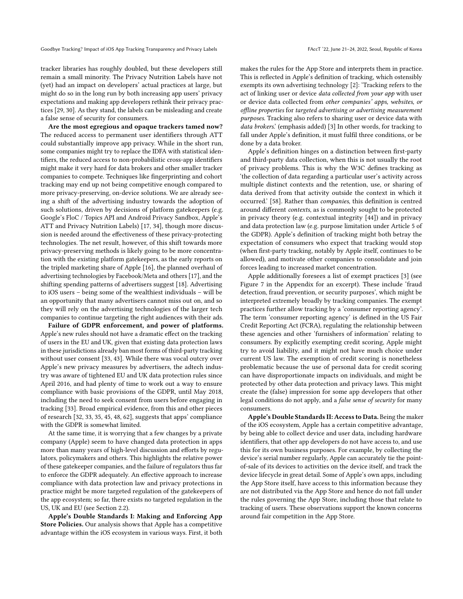tracker libraries has roughly doubled, but these developers still remain a small minority. The Privacy Nutrition Labels have not (yet) had an impact on developers' actual practices at large, but might do so in the long run by both increasing app users' privacy expectations and making app developers rethink their privacy practices [\[29,](#page-10-2) [30\]](#page-10-3). As they stand, the labels can be misleading and create a false sense of security for consumers.

Are the most egregious and opaque trackers tamed now? The reduced access to permanent user identifiers through ATT could substantially improve app privacy. While in the short run, some companies might try to replace the IDFA with statistical identifiers, the reduced access to non-probabilistic cross-app identifiers might make it very hard for data brokers and other smaller tracker companies to compete. Techniques like fingerprinting and cohort tracking may end up not being competitive enough compared to more privacy-preserving, on-device solutions. We are already seeing a shift of the advertising industry towards the adoption of such solutions, driven by decisions of platform gatekeepers (e.g. Google's FloC / Topics API and Android Privacy Sandbox, Apple's ATT and Privacy Nutrition Labels) [\[17,](#page-10-37) [34\]](#page-10-4), though more discussion is needed around the effectiveness of these privacy-protecting technologies. The net result, however, of this shift towards more privacy-preserving methods is likely going to be more concentration with the existing platform gatekeepers, as the early reports on the tripled marketing share of Apple [\[16\]](#page-10-14), the planned overhaul of advertising technologies by Facebook/Meta and others [\[17\]](#page-10-37), and the shifting spending patterns of advertisers suggest [\[18\]](#page-10-12). Advertising to iOS users – being some of the wealthiest individuals – will be an opportunity that many advertisers cannot miss out on, and so they will rely on the advertising technologies of the larger tech companies to continue targeting the right audiences with their ads.

Failure of GDPR enforcement, and power of platforms. Apple's new rules should not have a dramatic effect on the tracking of users in the EU and UK, given that existing data protection laws in these jurisdictions already ban most forms of third-party tracking without user consent [\[33,](#page-10-6) [43\]](#page-11-2). While there was vocal outcry over Apple's new privacy measures by advertisers, the adtech industry was aware of tightened EU and UK data protection rules since April 2016, and had plenty of time to work out a way to ensure compliance with basic provisions of the GDPR, until May 2018, including the need to seek consent from users before engaging in tracking [\[33\]](#page-10-6). Broad empirical evidence, from this and other pieces of research [\[32,](#page-10-38) [33,](#page-10-6) [35,](#page-10-24) [45,](#page-11-16) [48,](#page-11-3) [62\]](#page-11-12), suggests that apps' compliance with the GDPR is somewhat limited.

At the same time, it is worrying that a few changes by a private company (Apple) seem to have changed data protection in apps more than many years of high-level discussion and efforts by regulators, policymakers and others. This highlights the relative power of these gatekeeper companies, and the failure of regulators thus far to enforce the GDPR adequately. An effective approach to increase compliance with data protection law and privacy protections in practice might be more targeted regulation of the gatekeepers of the app ecosystem; so far, there exists no targeted regulation in the US, UK and EU (see Section [2.2\)](#page-2-1).

Apple's Double Standards I: Making and Enforcing App Store Policies. Our analysis shows that Apple has a competitive advantage within the iOS ecosystem in various ways. First, it both

makes the rules for the App Store and interprets them in practice. This is reflected in Apple's definition of tracking, which ostensibly exempts its own advertising technology [\[2\]](#page-10-35): 'Tracking refers to the act of linking user or device *data collected from your app* with user or device data collected from other companies' apps, websites, or offline properties for targeted advertising or advertising measurement purposes. Tracking also refers to sharing user or device data with data brokers.' (emphasis added) [\[3\]](#page-10-5) In other words, for tracking to fall under Apple's definition, it must fulfil three conditions, or be done by a data broker.

Apple's definition hinges on a distinction between first-party and third-party data collection, when this is not usually the root of privacy problems. This is why the W3C defines tracking as 'the collection of data regarding a particular user's activity across multiple distinct contexts and the retention, use, or sharing of data derived from that activity outside the context in which it occurred.' [\[58\]](#page-11-22). Rather than companies, this definition is centred around different contexts, as is commonly sought to be protected in privacy theory (e.g. contextual integrity [\[44\]](#page-11-4)) and in privacy and data protection law (e.g. purpose limitation under Article 5 of the GDPR). Apple's definition of tracking might both betray the expectation of consumers who expect that tracking would stop (when first-party tracking, notably by Apple itself, continues to be allowed), and motivate other companies to consolidate and join forces leading to increased market concentration.

Apple additionally foresees a list of exempt practices [\[3\]](#page-10-5) (see Figure [7](#page-11-23) in the Appendix for an excerpt). These include 'fraud detection, fraud prevention, or security purposes', which might be interpreted extremely broadly by tracking companies. The exempt practices further allow tracking by a 'consumer reporting agency'. The term 'consumer reporting agency' is defined in the US Fair Credit Reporting Act (FCRA), regulating the relationship between these agencies and other 'furnishers of information' relating to consumers. By explicitly exempting credit scoring, Apple might try to avoid liability, and it might not have much choice under current US law. The exemption of credit scoring is nonetheless problematic because the use of personal data for credit scoring can have disproportionate impacts on individuals, and might be protected by other data protection and privacy laws. This might create the (false) impression for some app developers that other legal conditions do not apply, and a false sense of security for many consumers.

Apple's Double Standards II: Access to Data. Being the maker of the iOS ecosystem, Apple has a certain competitive advantage, by being able to collect device and user data, including hardware identifiers, that other app developers do not have access to, and use this for its own business purposes. For example, by collecting the device's serial number regularly, Apple can accurately tie the pointof-sale of its devices to activities on the device itself, and track the device lifecycle in great detail. Some of Apple's own apps, including the App Store itself, have access to this information because they are not distributed via the App Store and hence do not fall under the rules governing the App Store, including those that relate to tracking of users. These observations support the known concerns around fair competition in the App Store.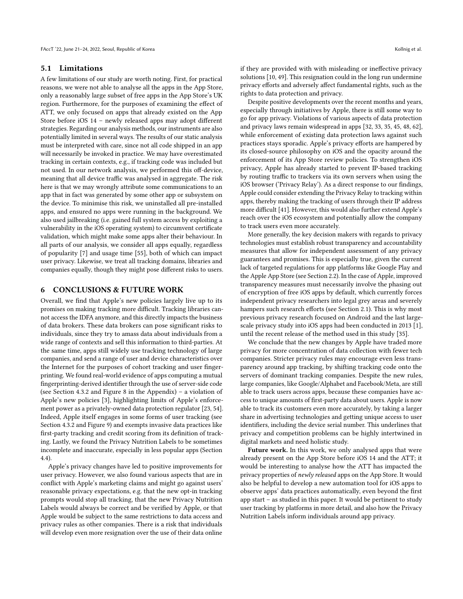#### <span id="page-9-0"></span>5.1 Limitations

A few limitations of our study are worth noting. First, for practical reasons, we were not able to analyse all the apps in the App Store, only a reasonably large subset of free apps in the App Store's UK region. Furthermore, for the purposes of examining the effect of ATT, we only focused on apps that already existed on the App Store before iOS 14 – newly released apps may adopt different strategies. Regarding our analysis methods, our instruments are also potentially limited in several ways. The results of our static analysis must be interpreted with care, since not all code shipped in an app will necessarily be invoked in practice. We may have overestimated tracking in certain contexts, e.g., if tracking code was included but not used. In our network analysis, we performed this off-device, meaning that all device traffic was analysed in aggregate. The risk here is that we may wrongly attribute some communications to an app that in fact was generated by some other app or subsystem on the device. To minimise this risk, we uninstalled all pre-installed apps, and ensured no apps were running in the background. We also used jailbreaking (i.e. gained full system access by exploiting a vulnerability in the iOS operating system) to circumvent certificate validation, which might make some apps alter their behaviour. In all parts of our analysis, we consider all apps equally, regardless of popularity [\[7\]](#page-10-30) and usage time [\[55\]](#page-11-17), both of which can impact user privacy. Likewise, we treat all tracking domains, libraries and companies equally, though they might pose different risks to users.

# <span id="page-9-1"></span>6 CONCLUSIONS & FUTURE WORK

Overall, we find that Apple's new policies largely live up to its promises on making tracking more difficult. Tracking libraries cannot access the IDFA anymore, and this directly impacts the business of data brokers. These data brokers can pose significant risks to individuals, since they try to amass data about individuals from a wide range of contexts and sell this information to third-parties. At the same time, apps still widely use tracking technology of large companies, and send a range of user and device characteristics over the Internet for the purposes of cohort tracking and user fingerprinting. We found real-world evidence of apps computing a mutual fingerprinting-derived identifier through the use of server-side code (see Section [4.3.2](#page-5-2) and Figure [8](#page-11-19) in the Appendix) – a violation of Apple's new policies [\[3\]](#page-10-5), highlighting limits of Apple's enforcement power as a privately-owned data protection regulator [\[23,](#page-10-39) [54\]](#page-11-13). Indeed, Apple itself engages in some forms of user tracking (see Section [4.3.2](#page-5-2) and Figure [9\)](#page-12-1) and exempts invasive data practices like first-party tracking and credit scoring from its definition of tracking. Lastly, we found the Privacy Nutrition Labels to be sometimes incomplete and inaccurate, especially in less popular apps (Section [4.4\)](#page-7-1).

Apple's privacy changes have led to positive improvements for user privacy. However, we also found various aspects that are in conflict with Apple's marketing claims and might go against users' reasonable privacy expectations, e.g. that the new opt-in tracking prompts would stop all tracking, that the new Privacy Nutrition Labels would always be correct and be verified by Apple, or that Apple would be subject to the same restrictions to data access and privacy rules as other companies. There is a risk that individuals will develop even more resignation over the use of their data online if they are provided with with misleading or ineffective privacy solutions [\[10,](#page-10-40) [49\]](#page-11-0). This resignation could in the long run undermine privacy efforts and adversely affect fundamental rights, such as the rights to data protection and privacy.

Despite positive developments over the recent months and years, especially through initiatives by Apple, there is still some way to go for app privacy. Violations of various aspects of data protection and privacy laws remain widespread in apps [\[32,](#page-10-38) [33,](#page-10-6) [35,](#page-10-24) [45,](#page-11-16) [48,](#page-11-3) [62\]](#page-11-12), while enforcement of existing data protection laws against such practices stays sporadic. Apple's privacy efforts are hampered by its closed-source philosophy on iOS and the opacity around the enforcement of its App Store review policies. To strengthen iOS privacy, Apple has already started to prevent IP-based tracking by routing traffic to trackers via its own servers when using the iOS browser ('Privacy Relay'). As a direct response to our findings, Apple could consider extending the Privacy Relay to tracking within apps, thereby making the tracking of users through their IP address more difficult [\[41\]](#page-10-34). However, this would also further extend Apple's reach over the iOS ecosystem and potentially allow the company to track users even more accurately.

More generally, the key decision makers with regards to privacy technologies must establish robust transparency and accountability measures that allow for independent assessment of any privacy guarantees and promises. This is especially true, given the current lack of targeted regulations for app platforms like Google Play and the Apple App Store (see Section [2.2\)](#page-2-1). In the case of Apple, improved transparency measures must necessarily involve the phasing out of encryption of free iOS apps by default, which currently forces independent privacy researchers into legal grey areas and severely hampers such research efforts (see Section [2.1\)](#page-1-2). This is why most previous privacy research focused on Android and the last largescale privacy study into iOS apps had been conducted in 2013 [\[1\]](#page-10-18), until the recent release of the method used in this study [\[35\]](#page-10-24).

We conclude that the new changes by Apple have traded more privacy for more concentration of data collection with fewer tech companies. Stricter privacy rules may encourage even less transparency around app tracking, by shifting tracking code onto the servers of dominant tracking companies. Despite the new rules, large companies, like Google/Alphabet and Facebook/Meta, are still able to track users across apps, because these companies have access to unique amounts of first-party data about users. Apple is now able to track its customers even more accurately, by taking a larger share in advertising technologies and getting unique access to user identifiers, including the device serial number. This underlines that privacy and competition problems can be highly intertwined in digital markets and need holistic study.

Future work. In this work, we only analysed apps that were already present on the App Store before iOS 14 and the ATT; it would be interesting to analyse how the ATT has impacted the privacy properties of newly released apps on the App Store. It would also be helpful to develop a new automation tool for iOS apps to observe apps' data practices automatically, even beyond the first app start – as studied in this paper. It would be pertinent to study user tracking by platforms in more detail, and also how the Privacy Nutrition Labels inform individuals around app privacy.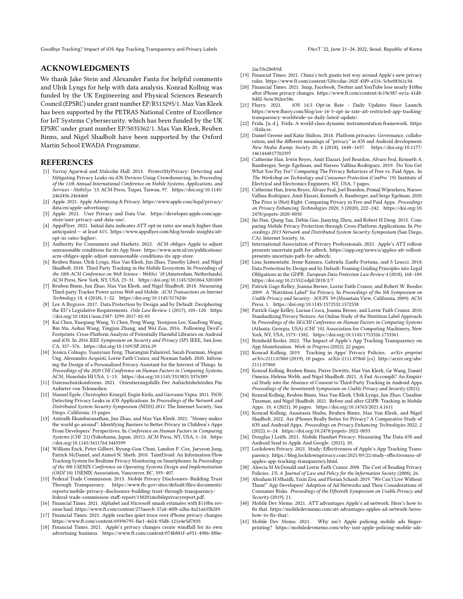## ACKNOWLEDGMENTS

We thank Jake Stein and Alexander Fanta for helpful comments and Ulrik Lyngs for help with data analysis. Konrad Kollnig was funded by the UK Engineering and Physical Sciences Research Council (EPSRC) under grant number EP/R513295/1. Max Van Kleek has been supported by the PETRAS National Centre of Excellence for IoT Systems Cybersecurity, which has been funded by the UK EPSRC under grant number EP/S035362/1. Max Van Kleek, Reuben Binns, and Nigel Shadbolt have been supported by the Oxford Martin School EWADA Programme.

#### REFERENCES

- <span id="page-10-18"></span>[1] Yuvraj Agarwal and Malcolm Hall. 2013. ProtectMyPrivacy: Detecting and Mitigating Privacy Leaks on iOS Devices Using Crowdsourcing. In Proceeding of the 11th Annual International Conference on Mobile Systems, Applications, and Services - MobiSys '13. ACM Press, Taipei, Taiwan, 97. [https://doi.org/10.1145/](https://doi.org/10.1145/2462456.2464460) [2462456.2464460](https://doi.org/10.1145/2462456.2464460)
- <span id="page-10-35"></span>[2] Apple. 2021. Apple Advertising & Privacy. [https://www.apple.com/legal/privacy/](https://www.apple.com/legal/privacy/data/en/apple-advertising/) [data/en/apple-advertising/.](https://www.apple.com/legal/privacy/data/en/apple-advertising/)
- <span id="page-10-5"></span>[3] Apple. 2021. User Privacy and Data Use. [https://developer.apple.com/app](https://developer.apple.com/app-store/user-privacy-and-data-use/)[store/user-privacy-and-data-use/.](https://developer.apple.com/app-store/user-privacy-and-data-use/)
- <span id="page-10-8"></span>[4] AppsFlyer. 2021. Initial data indicates ATT opt-in rates are much higher than anticipated — at least 41%. [https://www.appsflyer.com/blog/trends-insights/att](https://www.appsflyer.com/blog/trends-insights/att-opt-in-rates-higher/)[opt-in-rates-higher/.](https://www.appsflyer.com/blog/trends-insights/att-opt-in-rates-higher/)
- <span id="page-10-29"></span>[5] Authority for Consumers and Markets. 2022. ACM obliges Apple to adjust unreasonable conditions for its App Store. [https://www.acm.nl/en/publications/](https://www.acm.nl/en/publications/acm-obliges-apple-adjust-unreasonable-conditions-its-app-store) [acm-obliges-apple-adjust-unreasonable-conditions-its-app-store.](https://www.acm.nl/en/publications/acm-obliges-apple-adjust-unreasonable-conditions-its-app-store)
- <span id="page-10-22"></span>[6] Reuben Binns, Ulrik Lyngs, Max Van Kleek, Jun Zhao, Timothy Libert, and Nigel Shadbolt. 2018. Third Party Tracking in the Mobile Ecosystem. In Proceedings of the 10th ACM Conference on Web Science - WebSci '18 (Amsterdam, Netherlands). ACM Press, New York, NY, USA, 23–31.<https://doi.org/10.1145/3201064.3201089>
- <span id="page-10-30"></span>[7] Reuben Binns, Jun Zhao, Max Van Kleek, and Nigel Shadbolt. 2018. Measuring Third-party Tracker Power across Web and Mobile. ACM Transactions on Internet Technology 18, 4 (2018), 1–22.<https://doi.org/10.1145/3176246>
- <span id="page-10-27"></span>[8] Lee A Bygrave. 2017. Data Protection by Design and by Default: Deciphering the EU's Legislative Requirements. Oslo Law Review 1 (2017), 105–120. [https:](https://doi.org/10.18261/issn.2387-3299-2017-02-03) [//doi.org/10.18261/issn.2387-3299-2017-02-03](https://doi.org/10.18261/issn.2387-3299-2017-02-03)
- <span id="page-10-23"></span>[9] Kai Chen, Xueqiang Wang, Yi Chen, Peng Wang, Yeonjoon Lee, XiaoFeng Wang, Bin Ma, Aohui Wang, Yingjun Zhang, and Wei Zou. 2016. Following Devil's Footprints: Cross-Platform Analysis of Potentially Harmful Libraries on Android and iOS. In 2016 IEEE Symposium on Security and Privacy (SP). IEEE, San Jose, CA, 357–376.<https://doi.org/10.1109/SP.2016.29>
- <span id="page-10-40"></span>[10] Jessica Colnago, Yuanyuan Feng, Tharangini Palanivel, Sarah Pearman, Megan Ung, Alessandro Acquisti, Lorrie Faith Cranor, and Norman Sadeh. 2020. Informing the Design of a Personalized Privacy Assistant for the Internet of Things. In Proceedings of the 2020 CHI Conference on Human Factors in Computing Systems. ACM, Honolulu HI USA, 1–13.<https://doi.org/10.1145/3313831.3376389>
- <span id="page-10-7"></span>[11] Datenschutzkonferenz. 2021. Orientierungshilfe Der Aufsichtsbehörden Für Anbieter von Telemedien.
- <span id="page-10-20"></span>[12] Manuel Egele, Christopher Kruegel, Engin Kirda, and Giovanni Vigna. 2011. PiOS: Detecting Privacy Leaks in iOS Applications. In Proceedings of the Network and Distributed System Security Symposium (NDSS) 2011. The Internet Society, San Diego, California, 15 pages.
- <span id="page-10-0"></span>[13] Anirudh Ekambaranathan, Jun Zhao, and Max Van Kleek. 2021. "Money makes the world go around": Identifying Barriers to Better Privacy in Children's Apps From Developers' Perspectives. In Conference on Human Factors in Computing Systems (CHI '21) (Yokohama, Japan, 2021). ACM Press, NY, USA, 1–24. [https:](https://doi.org/10.1145/3411764.3445599) [//doi.org/10.1145/3411764.3445599](https://doi.org/10.1145/3411764.3445599)
- <span id="page-10-17"></span>[14] William Enck, Peter Gilbert, Byung-Gon Chun, Landon P. Cox, Jaeyeon Jung, Patrick McDaniel, and Anmol N. Sheth. 2010. TaintDroid: An Information-Flow Tracking System for Realtime Privacy Monitoring on Smartphones. In Proceedings of the 9th USENIX Conference on Operating Systems Design and Implementation (OSDI'10). USENIX Association, Vancouver, BC, 393–407.
- <span id="page-10-26"></span>[15] Federal Trade Commission. 2013. Mobile Privacy Disclosures–Building Trust Through Transparency. [https://www.ftc.gov/sites/default/files/documents/](https://www.ftc.gov/sites/default/files/documents/reports/mobile-privacy-disclosures-building-trust-through-transparency-federal-trade-commission-staff-report/130201mobileprivacyreport.pdf) [reports/mobile-privacy-disclosures-building-trust-through-transparency](https://www.ftc.gov/sites/default/files/documents/reports/mobile-privacy-disclosures-building-trust-through-transparency-federal-trade-commission-staff-report/130201mobileprivacyreport.pdf)[federal-trade-commission-staff-report/130201mobileprivacyreport.pdf.](https://www.ftc.gov/sites/default/files/documents/reports/mobile-privacy-disclosures-building-trust-through-transparency-federal-trade-commission-staff-report/130201mobileprivacyreport.pdf)
- <span id="page-10-14"></span>[16] Financial Times. 2021. Alphabet and Microsoft smash estimates with \$110bn revenue haul. [https://www.ft.com/content/273aeecb-57a8-40f8-a2ba-8a21a635b289.](https://www.ft.com/content/273aeecb-57a8-40f8-a2ba-8a21a635b289)
- <span id="page-10-37"></span>[17] Financial Times. 2021. Apple reaches quiet truce over iPhone privacy changes. [https://www.ft.com/content/69396795-f6e1-4624-95d8-121e4e5d7839.](https://www.ft.com/content/69396795-f6e1-4624-95d8-121e4e5d7839)
- <span id="page-10-12"></span>[18] Financial Times. 2021. Apple's privacy changes create windfall for its own advertising business. [https://www.ft.com/content/074b881f-a931-4986-888e-](https://www.ft.com/content/074b881f-a931-4986-888e-2ac53e286b9d)

[2ac53e286b9d.](https://www.ft.com/content/074b881f-a931-4986-888e-2ac53e286b9d)

- <span id="page-10-32"></span>[19] Financial Times. 2021. China's tech giants test way around Apple's new privacy rules. [https://www.ft.com/content/520ccdae-202f-45f9-a516-5cbe08361c34.](https://www.ft.com/content/520ccdae-202f-45f9-a516-5cbe08361c34)
- <span id="page-10-13"></span>[20] Financial Times. 2021. Snap, Facebook, Twitter and YouTube lose nearly \$10bn after iPhone privacy changes. [https://www.ft.com/content/4c19e387-ee1a-41d8-](https://www.ft.com/content/4c19e387-ee1a-41d8-8dd2-bc6c302ee58e) [8dd2-bc6c302ee58e.](https://www.ft.com/content/4c19e387-ee1a-41d8-8dd2-bc6c302ee58e)
- <span id="page-10-9"></span>[21] Flurry. 2021. iOS 14.5 Opt-in Rate - Daily Updates Since Launch. [https://www.flurry.com/blog/ios-14-5-opt-in-rate-att-restricted-app-tracking](https://www.flurry.com/blog/ios-14-5-opt-in-rate-att-restricted-app-tracking-transparency-worldwide-us-daily-latest-update/)[transparency-worldwide-us-daily-latest-update/.](https://www.flurry.com/blog/ios-14-5-opt-in-rate-att-restricted-app-tracking-transparency-worldwide-us-daily-latest-update/)
- <span id="page-10-25"></span>[22] Frida. [n. d.]. Frida: A world-class dynamic instrumentation framework. [https:](https://frida.re) [//frida.re.](https://frida.re)
- <span id="page-10-39"></span>[23] Daniel Greene and Katie Shilton. 2018. Platform privacies: Governance, collaboration, and the different meanings of "privacy" in iOS and Android development. New Media & amp; Society 20, 4 (2018), 1640-1657. [https://doi.org/10.1177/](https://doi.org/10.1177/1461444817702397) [1461444817702397](https://doi.org/10.1177/1461444817702397)
- <span id="page-10-19"></span>[24] Catherine Han, Irwin Reyes, Amit Elazari, Joel Reardon, Alvaro Feal, Kenneth A. Bamberger, Serge Egelman, and Narseo Vallina-Rodriguez. 2019. Do You Get What You Pay For? Comparing The Privacy Behaviors of Free vs. Paid Apps.. In The Workshop on Technology and Consumer Protection (ConPro '19). Institute of Electrical and Electronics Engineers, NY, USA, 7 pages.
- <span id="page-10-31"></span>[25] Catherine Han, Irwin Reyes, Álvaro Feal, Joel Reardon, Primal Wijesekera, Narseo Vallina-Rodriguez, Amit Elazari, Kenneth A. Bamberger, and Serge Egelman. 2020. The Price is (Not) Right: Comparing Privacy in Free and Paid Apps. Proceedings on Privacy Enhancing Technologies 2020, 3 (2020), 222–242. [https://doi.org/10.](https://doi.org/10.2478/popets-2020-0050) [2478/popets-2020-0050](https://doi.org/10.2478/popets-2020-0050)
- <span id="page-10-21"></span>[26] Jin Han, Qiang Yan, Debin Gao, Jianying Zhou, and Robert H Deng. 2013. Comparing Mobile Privacy Protection through Cross-Platform Applications. In Proceedings 2013 Network and Distributed System Security Symposium (San Diego, CA). Internet Society, 16.
- <span id="page-10-10"></span>[27] International Association of Privacy Professionals. 2021. Apple's ATT rollout presents uncertain path for adtech. [https://iapp.org/news/a/apples-att-rollout-](https://iapp.org/news/a/apples-att-rollout-presents-uncertain-path-for-adtech/)
- <span id="page-10-28"></span>[presents-uncertain-path-for-adtech/.](https://iapp.org/news/a/apples-att-rollout-presents-uncertain-path-for-adtech/) [28] Lina Jasmontaite, Irene Kamara, Gabriela Zanfir-Fortuna, and S Leucci. 2018. Data Protection by Design and by Default: Framing Guiding Principles into Legal Obligations in the GDPR. European Data Protection Law Review 4 (2018), 168–189. <https://doi.org/10.21552/edpl/2018/2/7>
- <span id="page-10-2"></span>[29] Patrick Gage Kelley, Joanna Bresee, Lorrie Faith Cranor, and Robert W. Reeder. 2009. A "Nutrition Label" for Privacy. In Proceedings of the 5th Symposium on Usable Privacy and Security - SOUPS '09 (Mountain View, California, 2009). ACM Press, 1.<https://doi.org/10.1145/1572532.1572538>
- <span id="page-10-3"></span>[30] Patrick Gage Kelley, Lucian Cesca, Joanna Bresee, and Lorrie Faith Cranor. 2010. Standardizing Privacy Notices: An Online Study of the Nutrition Label Approach. In Proceedings of the SIGCHI Conference on Human Factors in Computing Systems (Atlanta, Georgia, USA) (CHI '10). Association for Computing Machinery, New York, NY, USA, 1573–1582.<https://doi.org/10.1145/1753326.1753561>
- <span id="page-10-15"></span>[31] Reinhold Kesler. 2022. The Impact of Apple's App Tracking Transparency on App Monetization. Work in Progress (2022), 22 pages.
- <span id="page-10-38"></span>[32] Konrad Kollnig. 2019. Tracking in Apps' Privacy Policies. arXiv preprint arXiv:2111.07860 (2019), 10 pages. arXiv[:2111.07860](https://arxiv.org/abs/2111.07860) [cs] [http://arxiv.org/abs/](http://arxiv.org/abs/2111.07860) [2111.07860](http://arxiv.org/abs/2111.07860)
- <span id="page-10-6"></span>[33] Konrad Kollnig, Reuben Binns, Pierre Dewitte, Max Van Kleek, Ge Wang, Daniel Omeiza, Helena Webb, and Nigel Shadbolt. 2021. A Fait Accompli? An Empirical Study into the Absence of Consent to Third-Party Tracking in Android Apps. Proceedings of the Seventeenth Symposium on Usable Privacy and Security (2021).
- <span id="page-10-4"></span>[34] Konrad Kollnig, Reuben Binns, Max Van Kleek, Ulrik Lyngs, Jun Zhao, Claudine Tinsman, and Nigel Shadbolt. 2021. Before and after GDPR: Tracking in Mobile Apps. 10, 4 (2021), 30 pages.<https://doi.org/10.14763/2021.4.1611>
- <span id="page-10-24"></span>[35] Konrad Kollnig, Anastasia Shuba, Reuben Binns, Max Van Kleek, and Nigel Shadbolt. 2022. Are iPhones Really Better for Privacy? A Comparative Study of iOS and Android Apps. Proceedings on Privacy Enhancing Technologies 2022, 2 (2022), 6–24.<https://doi.org/10.2478/popets-2022-0033>
- <span id="page-10-36"></span>[36] Douglas J Leith. 2021. Mobile Handset Privacy: Measuring The Data iOS and Android Send to Apple And Google. (2021), 10.
- <span id="page-10-33"></span>[37] Lockdown Privacy. 2021. Study: Effectiveness of Apple's App Tracking Transparency. [https://blog.lockdownprivacy.com/2021/09/22/study-effectiveness-of](https://blog.lockdownprivacy.com/2021/09/22/study-effectiveness-of-apples-app-tracking-transparency.html)[apples-app-tracking-transparency.html.](https://blog.lockdownprivacy.com/2021/09/22/study-effectiveness-of-apples-app-tracking-transparency.html)
- <span id="page-10-16"></span>[38] Aleecia M McDonald and Lorrie Faith Cranor. 2008. The Cost of Reading Privacy Policies. I/S: A Journal of Law and Policy for the Information Society (2008), 26.
- <span id="page-10-1"></span>[39] Abraham H Mhaidli, Yixin Zou, and Florian Schaub. 2019. "We Can't Live Without Them!" App Developers' Adoption of Ad Networks and Their Considerations of Consumer Risks. Proceedings of the Fifteenth Symposium on Usable Privacy and Security (2019), 21.
- <span id="page-10-11"></span>[40] Mobile Dev Memo. 2021. ATT advantages Apple's ad network. Here's how to fix that. [https://mobiledevmemo.com/att-advantages-apples-ad-network-heres](https://mobiledevmemo.com/att-advantages-apples-ad-network-heres-how-to-fix-that/)[how-to-fix-that/.](https://mobiledevmemo.com/att-advantages-apples-ad-network-heres-how-to-fix-that/)
- <span id="page-10-34"></span>[41] Mobile Dev Memo. 2021. Why isn't Apple policing mobile ads fingerprinting? [https://mobiledevmemo.com/why-isnt-apple-policing-mobile-ads-](https://mobiledevmemo.com/why-isnt-apple-policing-mobile-ads-fingerprinting/)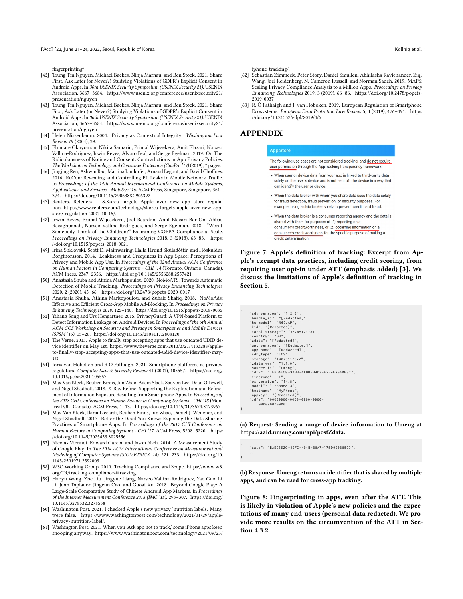FAccT '22, June 21–24, 2022, Seoul, Republic of Korea Kollnig et al. (2008) and the state of Kollnig et al. (2008) and the Second Music of Kollnig et al. (2009) and the Second Music of Kollnig et al. (2009) and the Second

[fingerprinting/.](https://mobiledevmemo.com/why-isnt-apple-policing-mobile-ads-fingerprinting/)

- <span id="page-11-18"></span>[42] Trung Tin Nguyen, Michael Backes, Ninja Marnau, and Ben Stock. 2021. Share First, Ask Later (or Never?) Studying Violations of GDPR's Explicit Consent in Android Apps. In 30th USENIX Security Symposium (USENIX Security 21). USENIX Association, 3667–3684. [https://www.usenix.org/conference/usenixsecurity21/](https://www.usenix.org/conference/usenixsecurity21/presentation/nguyen) [presentation/nguyen](https://www.usenix.org/conference/usenixsecurity21/presentation/nguyen)
- <span id="page-11-2"></span>[43] Trung Tin Nguyen, Michael Backes, Ninja Marnau, and Ben Stock. 2021. Share First, Ask Later (or Never?) Studying Violations of GDPR's Explicit Consent in Android Apps. In 30th USENIX Security Symposium (USENIX Security 21). USENIX Association, 3667–3684. [https://www.usenix.org/conference/usenixsecurity21/](https://www.usenix.org/conference/usenixsecurity21/presentation/nguyen) [presentation/nguyen](https://www.usenix.org/conference/usenixsecurity21/presentation/nguyen)
- <span id="page-11-4"></span>[44] Helen Nissenbaum. 2004. Privacy as Contextual Integrity. Washington Law Review 79 (2004), 39.
- <span id="page-11-16"></span>[45] Ehimare Okoyomon, Nikita Samarin, Primal Wijesekera, Amit Elazari, Narseo Vallina-Rodriguez, Irwin Reyes, Alvaro Feal, and Serge Egelman. 2019. On The Ridiculousness of Notice and Consent: Contradictions in App Privacy Policies. The Workshop on Technology and Consumer Protection (ConPro<sup>219</sup>) (2019), 7 pages.
- <span id="page-11-6"></span>[46] Jingjing Ren, Ashwin Rao, Martina Lindorfer, Arnaud Legout, and David Choffnes. 2016. ReCon: Revealing and Controlling PII Leaks in Mobile Network Traffic. In Proceedings of the 14th Annual International Conference on Mobile Systems, Applications, and Services - MobiSys '16. ACM Press, Singapore, Singapore, 361– 374.<https://doi.org/10.1145/2906388.2906392>
- <span id="page-11-15"></span>[47] Reuters. Reteuers. S.Korea targets Apple over new app store regulation. [https://www.reuters.com/technology/skorea-targets-apple-over-new-app](https://www.reuters.com/technology/skorea-targets-apple-over-new-app-store-regulation-2021-10-15/)[store-regulation-2021-10-15/.](https://www.reuters.com/technology/skorea-targets-apple-over-new-app-store-regulation-2021-10-15/)
- <span id="page-11-3"></span>[48] Irwin Reyes, Primal Wijesekera, Joel Reardon, Amit Elazari Bar On, Abbas Razaghpanah, Narseo Vallina-Rodriguez, and Serge Egelman. 2018. "Won't Somebody Think of the Children?" Examining COPPA Compliance at Scale. Proceedings on Privacy Enhancing Technologies 2018, 3 (2018), 63–83. [https:](https://doi.org/10.1515/popets-2018-0021) [//doi.org/10.1515/popets-2018-0021](https://doi.org/10.1515/popets-2018-0021)
- <span id="page-11-0"></span>[49] Irina Shklovski, Scott D. Mainwaring, Halla Hrund Skúladóttir, and Höskuldur Borgthorsson. 2014. Leakiness and Creepiness in App Space: Perceptions of Privacy and Mobile App Use. In Proceedings of the 32nd Annual ACM Conference on Human Factors in Computing Systems - CHI '14 (Toronto, Ontario, Canada). ACM Press, 2347–2356.<https://doi.org/10.1145/2556288.2557421>
- <span id="page-11-7"></span>[50] Anastasia Shuba and Athina Markopoulou. 2020. NoMoATS: Towards Automatic Detection of Mobile Tracking. Proceedings on Privacy Enhancing Technologies 2020, 2 (2020), 45–66.<https://doi.org/10.2478/popets-2020-0017>
- <span id="page-11-8"></span>[51] Anastasia Shuba, Athina Markopoulou, and Zubair Shafiq. 2018. NoMoAds: Effective and Efficient Cross-App Mobile Ad-Blocking. In Proceedings on Privacy Enhancing Technologies 2018. 125–140.<https://doi.org/10.1515/popets-2018-0035>
- <span id="page-11-9"></span>[52] Yihang Song and Urs Hengartner. 2015. PrivacyGuard: A VPN-based Platform to Detect Information Leakage on Android Devices. In Proceedings of the 5th Annual ACM CCS Workshop on Security and Privacy in Smartphones and Mobile Devices (SPSM '15). 15–26.<https://doi.org/10.1145/2808117.2808120>
- <span id="page-11-21"></span>[53] The Verge. 2013. Apple to finally stop accepting apps that use outdated UDID device identifier on May 1st. [https://www.theverge.com/2013/3/21/4133288/apple](https://www.theverge.com/2013/3/21/4133288/apple-to-finally-stop-accepting-apps-that-use-outdated-udid-device-identifier-may-1st)[to-finally-stop-accepting-apps-that-use-outdated-udid-device-identifier-may-](https://www.theverge.com/2013/3/21/4133288/apple-to-finally-stop-accepting-apps-that-use-outdated-udid-device-identifier-may-1st)[1st.](https://www.theverge.com/2013/3/21/4133288/apple-to-finally-stop-accepting-apps-that-use-outdated-udid-device-identifier-may-1st)
- <span id="page-11-13"></span>[54] Joris van Hoboken and R O Fathaigh. 2021. Smartphone platforms as privacy regulators. Computer Law & Security Review 41 (2021), 105557. [https://doi.org/](https://doi.org/10.1016/j.clsr.2021.105557) [10.1016/j.clsr.2021.105557](https://doi.org/10.1016/j.clsr.2021.105557)
- <span id="page-11-17"></span>[55] Max Van Kleek, Reuben Binns, Jun Zhao, Adam Slack, Sauyon Lee, Dean Ottewell, and Nigel Shadbolt. 2018. X-Ray Refine: Supporting the Exploration and Refinement of Information Exposure Resulting from Smartphone Apps. In Proceedings of the 2018 CHI Conference on Human Factors in Computing Systems - CHI '18 (Montreal QC, Canada). ACM Press, 1–13.<https://doi.org/10.1145/3173574.3173967>
- <span id="page-11-1"></span>[56] Max Van Kleek, Ilaria Liccardi, Reuben Binns, Jun Zhao, Daniel J. Weitzner, and Nigel Shadbolt. 2017. Better the Devil You Know: Exposing the Data Sharing Practices of Smartphone Apps. In Proceedings of the 2017 CHI Conference on Human Factors in Computing Systems - CHI '17. ACM Press, 5208–5220. [https:](https://doi.org/10.1145/3025453.3025556) [//doi.org/10.1145/3025453.3025556](https://doi.org/10.1145/3025453.3025556)
- <span id="page-11-10"></span>[57] Nicolas Viennot, Edward Garcia, and Jason Nieh. 2014. A Measurement Study of Google Play. In The 2014 ACM International Conference on Measurement and Modeling of Computer Systems (SIGMETRICS '14). 221–233. [https://doi.org/10.](https://doi.org/10.1145/2591971.2592003) [1145/2591971.2592003](https://doi.org/10.1145/2591971.2592003)
- <span id="page-11-22"></span>[58] W3C Working Group. 2019. Tracking Compliance and Scope. [https://www.w3.](https://www.w3.org/TR/tracking-compliance/#tracking) [org/TR/tracking-compliance/#tracking.](https://www.w3.org/TR/tracking-compliance/#tracking)
- <span id="page-11-11"></span>[59] Haoyu Wang, Zhe Liu, Jingyue Liang, Narseo Vallina-Rodriguez, Yao Guo, Li Li, Juan Tapiador, Jingcun Cao, and Guoai Xu. 2018. Beyond Google Play: A Large-Scale Comparative Study of Chinese Android App Markets. In Proceedings of the Internet Measurement Conference 2018 (IMC '18). 293–307. [https://doi.org/](https://doi.org/10.1145/3278532.3278558) [10.1145/3278532.3278558](https://doi.org/10.1145/3278532.3278558)
- <span id="page-11-5"></span>[60] Washington Post. 2021. I checked Apple's new privacy 'nutrition labels.' Many were false. [https://www.washingtonpost.com/technology/2021/01/29/apple](https://www.washingtonpost.com/technology/2021/01/29/apple-privacy-nutrition-label/)[privacy-nutrition-label/.](https://www.washingtonpost.com/technology/2021/01/29/apple-privacy-nutrition-label/)
- <span id="page-11-20"></span>[61] Washington Post. 2021. When you 'Ask app not to track,' some iPhone apps keep snooping anyway. [https://www.washingtonpost.com/technology/2021/09/23/](https://www.washingtonpost.com/technology/2021/09/23/iphone-tracking/)

[iphone-tracking/.](https://www.washingtonpost.com/technology/2021/09/23/iphone-tracking/)

- <span id="page-11-12"></span>[62] Sebastian Zimmeck, Peter Story, Daniel Smullen, Abhilasha Ravichander, Ziqi Wang, Joel Reidenberg, N. Cameron Russell, and Norman Sadeh. 2019. MAPS: Scaling Privacy Compliance Analysis to a Million Apps. Proceedings on Privacy Enhancing Technologies 2019, 3 (2019), 66–86. [https://doi.org/10.2478/popets-](https://doi.org/10.2478/popets-2019-0037)[2019-0037](https://doi.org/10.2478/popets-2019-0037)
- <span id="page-11-14"></span>[63] R. Ó Fathaigh and J. van Hoboken. 2019. European Regulation of Smartphone Ecosystems. European Data Protection Law Review 5, 4 (2019), 476–491. [https:](https://doi.org/10.21552/edpl/2019/4/6) [//doi.org/10.21552/edpl/2019/4/6](https://doi.org/10.21552/edpl/2019/4/6)

# <span id="page-11-23"></span>APPENDIX

#### **App Store**

The following use cases are not considered tracking, and do not require user permission through the AppTrackingTransparency framework:

- When user or device data from your app is linked to third-party data solely on the user's device and is not sent off the device in a way that can identify the user or device.
- When the data broker with whom you share data uses the data solely for fraud detection, fraud prevention, or security purposes. For example, using a data broker solely to prevent credit card fraud.
- When the data broker is a consumer reporting agency and the data is shared with them for purposes of (1) reporting on a consumer's creditworthiness, or (2) obtaining information on a consumer's creditworthiness for the specific purpose of making a credit determination.

Figure 7: Apple's definition of tracking: Excerpt from Apple's exempt data practices, including credit scoring, from requiring user opt-in under ATT (emphasis added) [\[3\]](#page-10-5). We discuss the limitations of Apple's definition of tracking in Section [5.](#page-7-0)

<span id="page-11-19"></span>

| € |                                                 |
|---|-------------------------------------------------|
|   | "sdk_version": "1.2.0",                         |
|   | "bundle id": "[Redacted]".                      |
|   | "hw_model": "N69uAP",                           |
|   | "kid": "[Redacted]",                            |
|   | "total_storage": "30745123781",                 |
|   | "country": "GB",                                |
|   | "zdata": "[Redacted]",                          |
|   | "app_version": "[Redacted]",                    |
|   | "app_name": "[Redacted]",                       |
|   | "sdk type": "IOS".                              |
|   | "storage": "14078912372",                       |
|   | "zdata ver": "1.1.0".                           |
|   | "source id": "umeng".                           |
|   | "idfv": "7EBDAFC8-97BB-4FDB-B4D3-E2F4EA040B8C". |
|   | "timezone": "1".                                |
|   | "os version": "14.8".                           |
|   | "model": "iPhone8,4",                           |
|   | "hostname": "MyPhone",                          |
|   | "appkey": "[Redacted]",                         |
|   | " $idfa$ ": "00000000-0000-0000-0000-           |
|   | 000000000000"                                   |
| 3 |                                                 |

(a) Request: Sending a range of device information to Umeng at [https://aaid.umeng.com/api/postZdata.](https://aaid.umeng.com/api/postZdata)

" aaid ": " BAEC362C -49 FC -494 B - B0A7 -175 D990B059D " , ...

{

}

(b) Response: Umeng returns an identifier that is shared by multiple apps, and can be used for cross-app tracking.

Figure 8: Fingerprinting in apps, even after the ATT. This is likely in violation of Apple's new policies and the expectations of many end-users (personal data redacted). We provide more results on the circumvention of the ATT in Section [4.3.2.](#page-5-2)